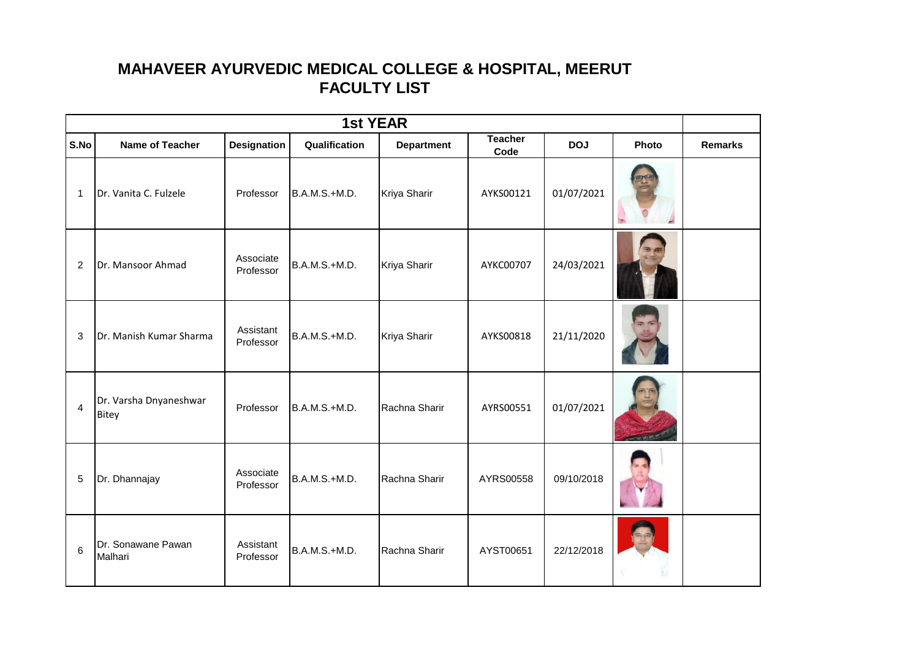## **MAHAVEER AYURVEDIC MEDICAL COLLEGE & HOSPITAL, MEERUT FACULTY LIST**

| <b>1st YEAR</b> |                                 |                        |               |                   |                        |            |       |                |
|-----------------|---------------------------------|------------------------|---------------|-------------------|------------------------|------------|-------|----------------|
| S.No            | Name of Teacher                 | <b>Designation</b>     | Qualification | <b>Department</b> | <b>Teacher</b><br>Code | <b>DOJ</b> | Photo | <b>Remarks</b> |
| $\mathbf{1}$    | Dr. Vanita C. Fulzele           | Professor              | B.A.M.S.+M.D. | Kriya Sharir      | AYKS00121              | 01/07/2021 |       |                |
| 2               | Dr. Mansoor Ahmad               | Associate<br>Professor | B.A.M.S.+M.D. | Kriya Sharir      | AYKC00707              | 24/03/2021 |       |                |
| 3               | Dr. Manish Kumar Sharma         | Assistant<br>Professor | B.A.M.S.+M.D. | Kriya Sharir      | AYKS00818              | 21/11/2020 |       |                |
| $\overline{4}$  | Dr. Varsha Dnyaneshwar<br>Bitey | Professor              | B.A.M.S.+M.D. | Rachna Sharir     | AYRS00551              | 01/07/2021 |       |                |
| 5               | Dr. Dhannajay                   | Associate<br>Professor | B.A.M.S.+M.D. | Rachna Sharir     | AYRS00558              | 09/10/2018 |       |                |
| 6               | Dr. Sonawane Pawan<br>Malhari   | Assistant<br>Professor | B.A.M.S.+M.D. | Rachna Sharir     | AYST00651              | 22/12/2018 |       |                |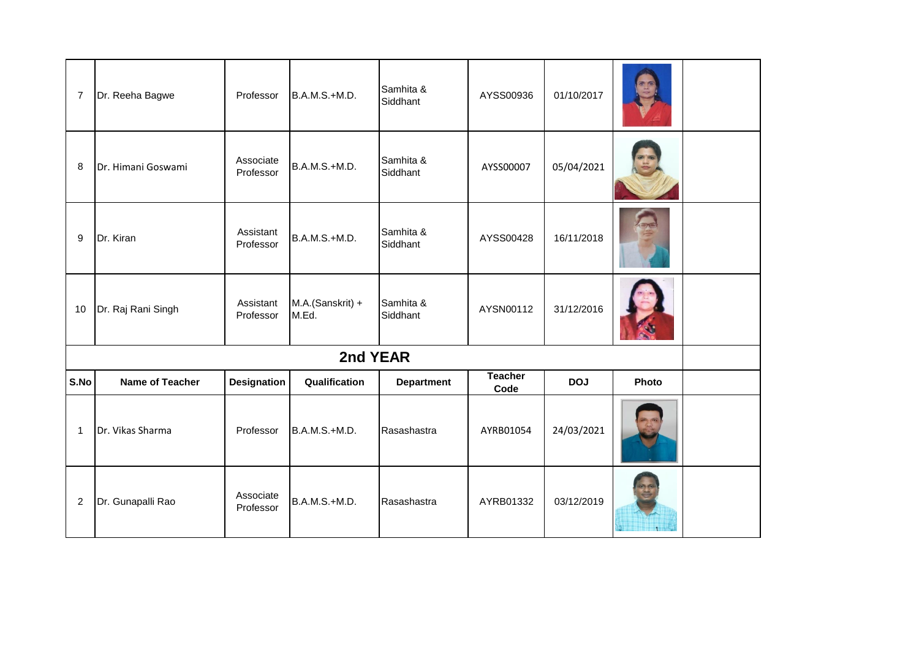| 7            | Dr. Reeha Bagwe        | Professor              | B.A.M.S.+M.D.             | Samhita &<br>Siddhant | AYSS00936              | 01/10/2017 |       |  |
|--------------|------------------------|------------------------|---------------------------|-----------------------|------------------------|------------|-------|--|
| 8            | Dr. Himani Goswami     | Associate<br>Professor | B.A.M.S.+M.D.             | Samhita &<br>Siddhant | AYSS00007              | 05/04/2021 |       |  |
| 9            | Dr. Kiran              | Assistant<br>Professor | B.A.M.S.+M.D.             | Samhita &<br>Siddhant | AYSS00428              | 16/11/2018 |       |  |
| 10           | Dr. Raj Rani Singh     | Assistant<br>Professor | M.A.(Sanskrit) +<br>M.Ed. | Samhita &<br>Siddhant | AYSN00112              | 31/12/2016 |       |  |
|              |                        |                        | 2nd YEAR                  |                       |                        |            |       |  |
| S.No         | <b>Name of Teacher</b> | <b>Designation</b>     | Qualification             | <b>Department</b>     | <b>Teacher</b><br>Code | <b>DOJ</b> | Photo |  |
| $\mathbf{1}$ | Dr. Vikas Sharma       | Professor              | B.A.M.S.+M.D.             | Rasashastra           | AYRB01054              | 24/03/2021 |       |  |
| $\sqrt{2}$   | Dr. Gunapalli Rao      | Associate<br>Professor | B.A.M.S.+M.D.             | Rasashastra           | AYRB01332              | 03/12/2019 |       |  |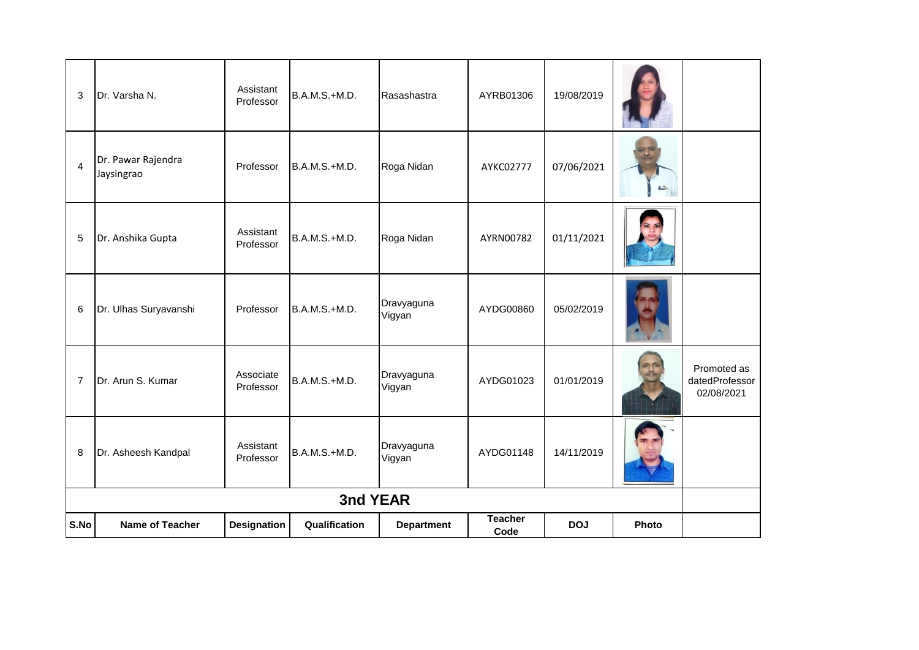| 3              | Dr. Varsha N.                    | Assistant<br>Professor | B.A.M.S.+M.D. | Rasashastra          | AYRB01306              | 19/08/2019 |       |                                             |
|----------------|----------------------------------|------------------------|---------------|----------------------|------------------------|------------|-------|---------------------------------------------|
| $\overline{4}$ | Dr. Pawar Rajendra<br>Jaysingrao | Professor              | B.A.M.S.+M.D. | Roga Nidan           | AYKC02777              | 07/06/2021 | حت    |                                             |
| 5              | Dr. Anshika Gupta                | Assistant<br>Professor | B.A.M.S.+M.D. | Roga Nidan           | AYRN00782              | 01/11/2021 |       |                                             |
| 6              | Dr. Ulhas Suryavanshi            | Professor              | B.A.M.S.+M.D. | Dravyaguna<br>Vigyan | AYDG00860              | 05/02/2019 |       |                                             |
| $\overline{7}$ | Dr. Arun S. Kumar                | Associate<br>Professor | B.A.M.S.+M.D. | Dravyaguna<br>Vigyan | AYDG01023              | 01/01/2019 |       | Promoted as<br>datedProfessor<br>02/08/2021 |
| 8              | Dr. Asheesh Kandpal              | Assistant<br>Professor | B.A.M.S.+M.D. | Dravyaguna<br>Vigyan | AYDG01148              | 14/11/2019 |       |                                             |
|                |                                  |                        | 3nd YEAR      |                      |                        |            |       |                                             |
| S.No           | <b>Name of Teacher</b>           | <b>Designation</b>     | Qualification | <b>Department</b>    | <b>Teacher</b><br>Code | <b>DOJ</b> | Photo |                                             |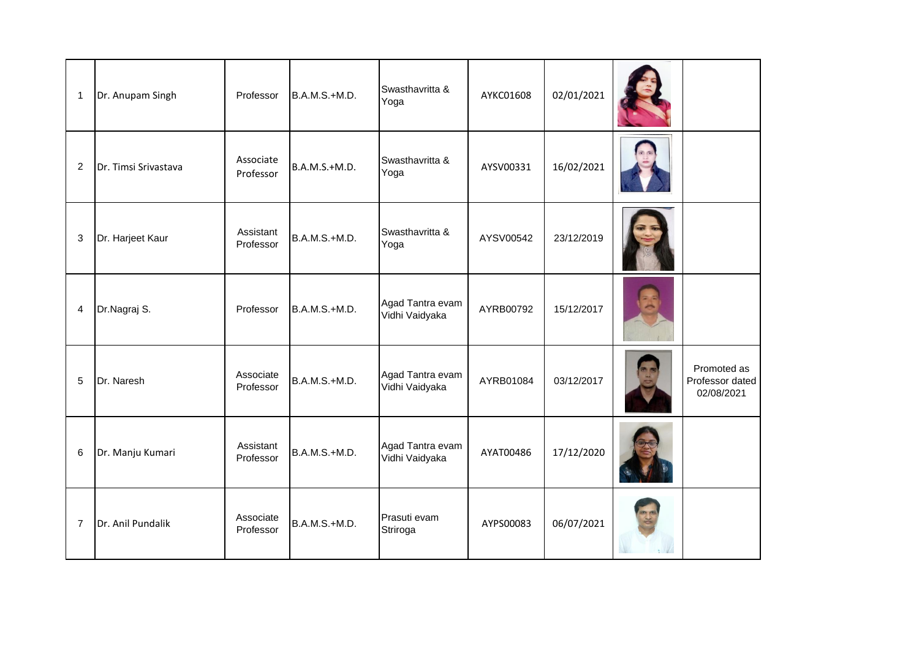| $\mathbf{1}$   | Dr. Anupam Singh     | Professor              | B.A.M.S.+M.D. | Swasthavritta &<br>Yoga            | AYKC01608 | 02/01/2021 |                                              |
|----------------|----------------------|------------------------|---------------|------------------------------------|-----------|------------|----------------------------------------------|
| $\overline{2}$ | Dr. Timsi Srivastava | Associate<br>Professor | B.A.M.S.+M.D. | Swasthavritta &<br>Yoga            | AYSV00331 | 16/02/2021 |                                              |
| 3              | Dr. Harjeet Kaur     | Assistant<br>Professor | B.A.M.S.+M.D. | Swasthavritta &<br>Yoga            | AYSV00542 | 23/12/2019 |                                              |
| 4              | Dr.Nagraj S.         | Professor              | B.A.M.S.+M.D. | Agad Tantra evam<br>Vidhi Vaidyaka | AYRB00792 | 15/12/2017 |                                              |
| 5              | Dr. Naresh           | Associate<br>Professor | B.A.M.S.+M.D. | Agad Tantra evam<br>Vidhi Vaidyaka | AYRB01084 | 03/12/2017 | Promoted as<br>Professor dated<br>02/08/2021 |
| 6              | Dr. Manju Kumari     | Assistant<br>Professor | B.A.M.S.+M.D. | Agad Tantra evam<br>Vidhi Vaidyaka | AYAT00486 | 17/12/2020 |                                              |
| $\overline{7}$ | Dr. Anil Pundalik    | Associate<br>Professor | B.A.M.S.+M.D. | Prasuti evam<br>Striroga           | AYPS00083 | 06/07/2021 |                                              |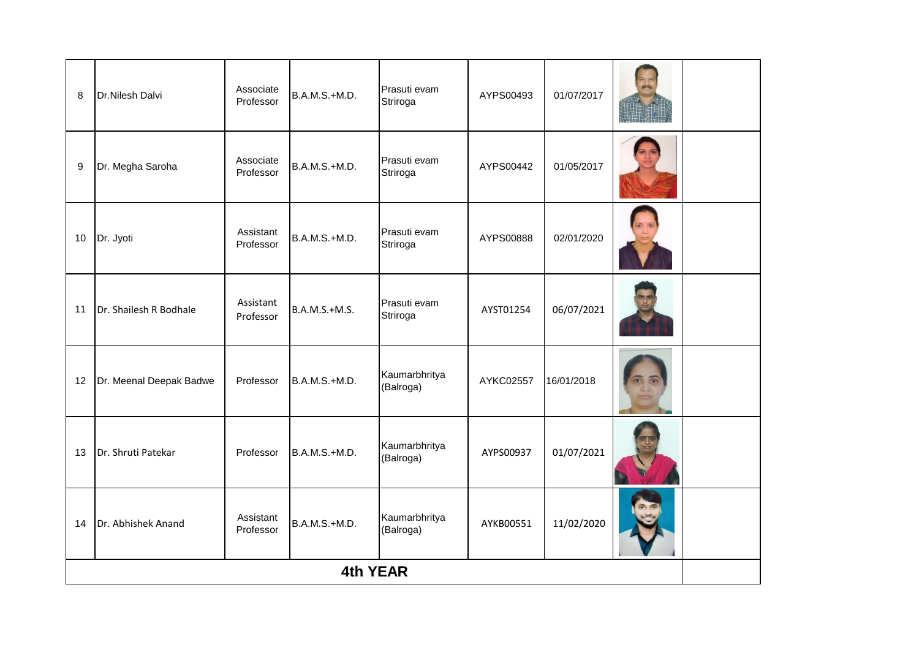| 8  | Dr.Nilesh Dalvi         | Associate<br>Professor | B.A.M.S.+M.D.   | Prasuti evam<br>Striroga   | AYPS00493 | 01/07/2017 |  |
|----|-------------------------|------------------------|-----------------|----------------------------|-----------|------------|--|
| 9  | Dr. Megha Saroha        | Associate<br>Professor | B.A.M.S.+M.D.   | Prasuti evam<br>Striroga   | AYPS00442 | 01/05/2017 |  |
| 10 | Dr. Jyoti               | Assistant<br>Professor | B.A.M.S.+M.D.   | Prasuti evam<br>Striroga   | AYPS00888 | 02/01/2020 |  |
| 11 | Dr. Shailesh R Bodhale  | Assistant<br>Professor | B.A.M.S.+M.S.   | Prasuti evam<br>Striroga   | AYST01254 | 06/07/2021 |  |
| 12 | Dr. Meenal Deepak Badwe | Professor              | B.A.M.S.+M.D.   | Kaumarbhritya<br>(Balroga) | AYKC02557 | 16/01/2018 |  |
| 13 | Dr. Shruti Patekar      | Professor              | B.A.M.S.+M.D.   | Kaumarbhritya<br>(Balroga) | AYPS00937 | 01/07/2021 |  |
| 14 | Dr. Abhishek Anand      | Assistant<br>Professor | B.A.M.S.+M.D.   | Kaumarbhritya<br>(Balroga) | AYKB00551 | 11/02/2020 |  |
|    |                         |                        | <b>4th YEAR</b> |                            |           |            |  |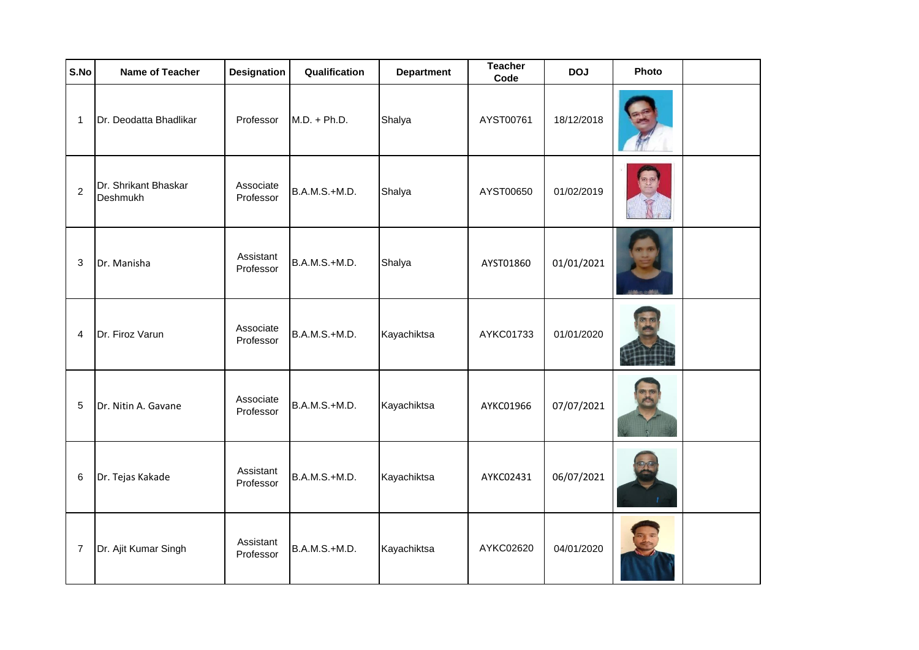| S.No           | Name of Teacher                  | <b>Designation</b>     | Qualification  | <b>Department</b> | <b>Teacher</b><br>Code | <b>DOJ</b> | Photo |  |
|----------------|----------------------------------|------------------------|----------------|-------------------|------------------------|------------|-------|--|
| $\mathbf{1}$   | Dr. Deodatta Bhadlikar           | Professor              | $M.D. + Ph.D.$ | Shalya            | AYST00761              | 18/12/2018 |       |  |
| $\overline{c}$ | Dr. Shrikant Bhaskar<br>Deshmukh | Associate<br>Professor | B.A.M.S.+M.D.  | Shalya            | AYST00650              | 01/02/2019 |       |  |
| 3              | Dr. Manisha                      | Assistant<br>Professor | B.A.M.S.+M.D.  | Shalya            | AYST01860              | 01/01/2021 |       |  |
| 4              | Dr. Firoz Varun                  | Associate<br>Professor | B.A.M.S.+M.D.  | Kayachiktsa       | AYKC01733              | 01/01/2020 |       |  |
| 5              | Dr. Nitin A. Gavane              | Associate<br>Professor | B.A.M.S.+M.D.  | Kayachiktsa       | AYKC01966              | 07/07/2021 |       |  |
| 6              | Dr. Tejas Kakade                 | Assistant<br>Professor | B.A.M.S.+M.D.  | Kayachiktsa       | AYKC02431              | 06/07/2021 |       |  |
| $\overline{7}$ | Dr. Ajit Kumar Singh             | Assistant<br>Professor | B.A.M.S.+M.D.  | Kayachiktsa       | AYKC02620              | 04/01/2020 |       |  |